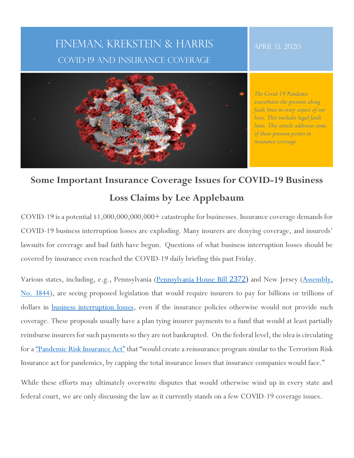## FINEMAN, KREKSTEIN & HARRIS COVID-19 AND INSURANCE COVERAGE

### APRIL 13, 2020



*The Covid-19 Pandemic exacerbates the pressure along fault lines in every aspect of our lives. This includes legal fault lines. This article addresses some of those pressure points in insurance coverage.*

# **Some Important Insurance Coverage Issues for COVID-19 Business Loss Claims by Lee Applebaum**

COVID-19 is a potential \$1,000,000,000,000+ catastrophe for businesses. Insurance coverage demands for COVID-19 business interruption losses are exploding. Many insurers are denying coverage, and insureds' lawsuits for coverage and bad faith have begun. Questions of what business interruption losses should be covered by insurance even reached the COVID-19 daily briefing this past Friday.

Various states, including, e.g., Pennsylvania (Pennsylvania House Bill 2372) and New Jersey (Assembly, No. 3844), are seeing proposed legislation that would require insurers to pay for billions or trillions of dollars in **business interruption losses**, even if the insurance policies otherwise would not provide such coverage. These proposals usually have a plan tying insurer payments to a fund that would at least partially reimburse insurers for such payments so they are not bankrupted. On the federal level, the idea is circulating for a "Pandemic Risk Insurance Act" that "would create a reinsurance program similar to the Terrorism Risk Insurance act for pandemics, by capping the total insurance losses that insurance companies would face."

While these efforts may ultimately overwrite disputes that would otherwise wind up in every state and federal court, we are only discussing the law as it currently stands on a few COVID-19 coverage issues.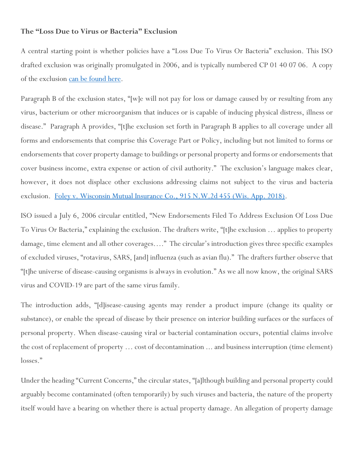#### **The "Loss Due to Virus or Bacteria" Exclusion**

A central starting point is whether policies have a "Loss Due To Virus Or Bacteria" exclusion. This ISO drafted exclusion was originally promulgated in 2006, and is typically numbered CP 01 40 07 06. A copy of the exclusion can be found here.

Paragraph B of the exclusion states, "[w]e will not pay for loss or damage caused by or resulting from any virus, bacterium or other microorganism that induces or is capable of inducing physical distress, illness or disease." Paragraph A provides, "[t]he exclusion set forth in Paragraph B applies to all coverage under all forms and endorsements that comprise this Coverage Part or Policy, including but not limited to forms or endorsements that cover property damage to buildings or personal property and forms or endorsements that cover business income, extra expense or action of civil authority." The exclusion's language makes clear, however, it does not displace other exclusions addressing claims not subject to the virus and bacteria exclusion. Foley v. Wisconsin Mutual Insurance Co., 915 N.W.2d 455 (Wis. App. 2018).

ISO issued a July 6, 2006 circular entitled, "New Endorsements Filed To Address Exclusion Of Loss Due To Virus Or Bacteria," explaining the exclusion. The drafters write, "[t]he exclusion … applies to property damage, time element and all other coverages…." The circular's introduction gives three specific examples of excluded viruses, "rotavirus, SARS, [and] influenza (such as avian flu)." The drafters further observe that "[t]he universe of disease-causing organisms is always in evolution." As we all now know, the original SARS virus and COVID-19 are part of the same virus family.

The introduction adds, "[d]isease-causing agents may render a product impure (change its quality or substance), or enable the spread of disease by their presence on interior building surfaces or the surfaces of personal property. When disease-causing viral or bacterial contamination occurs, potential claims involve the cost of replacement of property … cost of decontamination ... and business interruption (time element) losses."

Under the heading "Current Concerns," the circular states, "[a]lthough building and personal property could arguably become contaminated (often temporarily) by such viruses and bacteria, the nature of the property itself would have a bearing on whether there is actual property damage. An allegation of property damage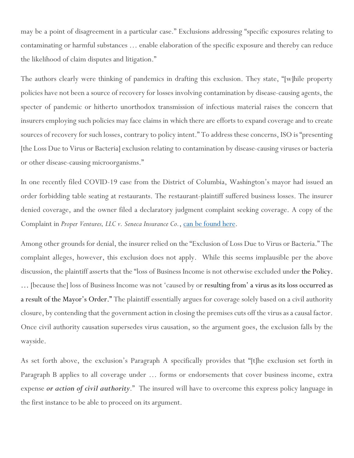may be a point of disagreement in a particular case." Exclusions addressing "specific exposures relating to contaminating or harmful substances … enable elaboration of the specific exposure and thereby can reduce the likelihood of claim disputes and litigation."

The authors clearly were thinking of pandemics in drafting this exclusion. They state, "[w]hile property policies have not been a source of recovery for losses involving contamination by disease-causing agents, the specter of pandemic or hitherto unorthodox transmission of infectious material raises the concern that insurers employing such policies may face claims in which there are efforts to expand coverage and to create sources of recovery for such losses, contrary to policy intent." To address these concerns, ISO is "presenting [the Loss Due to Virus or Bacteria] exclusion relating to contamination by disease-causing viruses or bacteria or other disease-causing microorganisms."

In one recently filed COVID-19 case from the District of Columbia, Washington's mayor had issued an order forbidding table seating at restaurants. The restaurant-plaintiff suffered business losses. The insurer denied coverage, and the owner filed a declaratory judgment complaint seeking coverage. A copy of the Complaint in *Proper Ventures, LLC v. Seneca Insurance Co.*, can be found here.

Among other grounds for denial, the insurer relied on the "Exclusion of Loss Due to Virus or Bacteria." The complaint alleges, however, this exclusion does not apply. While this seems implausible per the above discussion, the plaintiff asserts that the "loss of Business Income is not otherwise excluded under the Policy. … [because the] loss of Business Income was not 'caused by or resulting from' a virus as its loss occurred as a result of the Mayor's Order." The plaintiff essentially argues for coverage solely based on a civil authority closure, by contending that the government action in closing the premises cuts off the virus as a causal factor. Once civil authority causation supersedes virus causation, so the argument goes, the exclusion falls by the wayside.

As set forth above, the exclusion's Paragraph A specifically provides that "[t]he exclusion set forth in Paragraph B applies to all coverage under … forms or endorsements that cover business income, extra expense *or action of civil authority*." The insured will have to overcome this express policy language in the first instance to be able to proceed on its argument.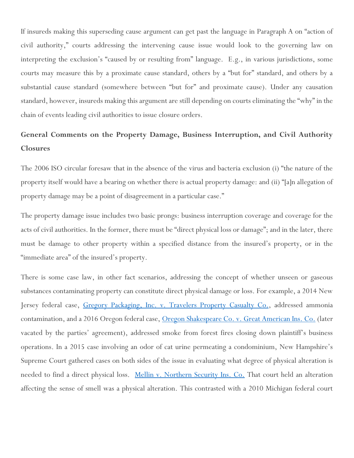If insureds making this superseding cause argument can get past the language in Paragraph A on "action of civil authority," courts addressing the intervening cause issue would look to the governing law on interpreting the exclusion's "caused by or resulting from" language. E.g., in various jurisdictions, some courts may measure this by a proximate cause standard, others by a "but for" standard, and others by a substantial cause standard (somewhere between "but for" and proximate cause). Under any causation standard, however, insureds making this argument are still depending on courts eliminating the "why" in the chain of events leading civil authorities to issue closure orders.

### **General Comments on the Property Damage, Business Interruption, and Civil Authority Closures**

The 2006 ISO circular foresaw that in the absence of the virus and bacteria exclusion (i) "the nature of the property itself would have a bearing on whether there is actual property damage: and (ii) "[a]n allegation of property damage may be a point of disagreement in a particular case."

The property damage issue includes two basic prongs: business interruption coverage and coverage for the acts of civil authorities. In the former, there must be "direct physical loss or damage"; and in the later, there must be damage to other property within a specified distance from the insured's property, or in the "immediate area" of the insured's property.

There is some case law, in other fact scenarios, addressing the concept of whether unseen or gaseous substances contaminating property can constitute direct physical damage or loss. For example, a 2014 New Jersey federal case, Gregory Packaging, Inc. v. Travelers Property Casualty Co., addressed ammonia contamination, and a 2016 Oregon federal case, Oregon Shakespeare Co. v. Great American Ins. Co. (later vacated by the parties' agreement), addressed smoke from forest fires closing down plaintiff's business operations. In a 2015 case involving an odor of cat urine permeating a condominium, New Hampshire's Supreme Court gathered cases on both sides of the issue in evaluating what degree of physical alteration is needed to find a direct physical loss. Mellin v. Northern Security Ins. Co. That court held an alteration affecting the sense of smell was a physical alteration. This contrasted with a 2010 Michigan federal court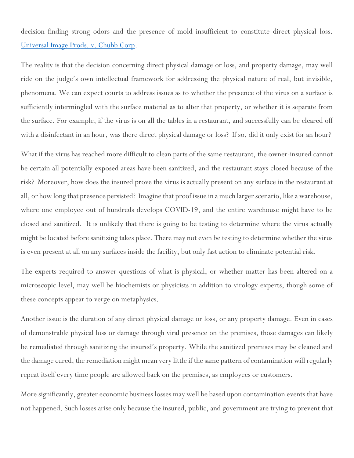decision finding strong odors and the presence of mold insufficient to constitute direct physical loss. Universal Image Prods. v. Chubb Corp.

The reality is that the decision concerning direct physical damage or loss, and property damage, may well ride on the judge's own intellectual framework for addressing the physical nature of real, but invisible, phenomena. We can expect courts to address issues as to whether the presence of the virus on a surface is sufficiently intermingled with the surface material as to alter that property, or whether it is separate from the surface. For example, if the virus is on all the tables in a restaurant, and successfully can be cleared off with a disinfectant in an hour, was there direct physical damage or loss? If so, did it only exist for an hour?

What if the virus has reached more difficult to clean parts of the same restaurant, the owner-insured cannot be certain all potentially exposed areas have been sanitized, and the restaurant stays closed because of the risk? Moreover, how does the insured prove the virus is actually present on any surface in the restaurant at all, or how long that presence persisted? Imagine that proof issue in a much larger scenario, like a warehouse, where one employee out of hundreds develops COVID-19, and the entire warehouse might have to be closed and sanitized. It is unlikely that there is going to be testing to determine where the virus actually might be located before sanitizing takes place. There may not even be testing to determine whether the virus is even present at all on any surfaces inside the facility, but only fast action to eliminate potential risk.

The experts required to answer questions of what is physical, or whether matter has been altered on a microscopic level, may well be biochemists or physicists in addition to virology experts, though some of these concepts appear to verge on metaphysics.

Another issue is the duration of any direct physical damage or loss, or any property damage. Even in cases of demonstrable physical loss or damage through viral presence on the premises, those damages can likely be remediated through sanitizing the insured's property. While the sanitized premises may be cleaned and the damage cured, the remediation might mean very little if the same pattern of contamination will regularly repeat itself every time people are allowed back on the premises, as employees or customers.

More significantly, greater economic business losses may well be based upon contamination events that have not happened. Such losses arise only because the insured, public, and government are trying to prevent that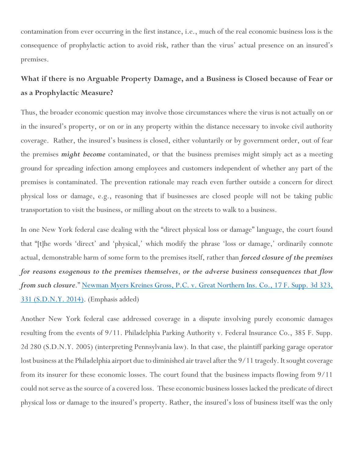contamination from ever occurring in the first instance, i.e., much of the real economic business loss is the consequence of prophylactic action to avoid risk, rather than the virus' actual presence on an insured's premises.

### **What if there is no Arguable Property Damage, and a Business is Closed because of Fear or as a Prophylactic Measure?**

Thus, the broader economic question may involve those circumstances where the virus is not actually on or in the insured's property, or on or in any property within the distance necessary to invoke civil authority coverage. Rather, the insured's business is closed, either voluntarily or by government order, out of fear the premises *might become* contaminated, or that the business premises might simply act as a meeting ground for spreading infection among employees and customers independent of whether any part of the premises is contaminated. The prevention rationale may reach even further outside a concern for direct physical loss or damage, e.g., reasoning that if businesses are closed people will not be taking public transportation to visit the business, or milling about on the streets to walk to a business.

In one New York federal case dealing with the "direct physical loss or damage" language, the court found that "[t]he words 'direct' and 'physical,' which modify the phrase 'loss or damage,' ordinarily connote actual, demonstrable harm of some form to the premises itself, rather than *forced closure of the premises for reasons exogenous to the premises themselves*, *or the adverse business consequences that flow from such closure*." Newman Myers Kreines Gross, P.C. v. Great Northern Ins. Co., 17 F. Supp. 3d 323, 331 (S.D.N.Y. 2014). (Emphasis added)

Another New York federal case addressed coverage in a dispute involving purely economic damages resulting from the events of 9/11. Philadelphia Parking Authority v. Federal Insurance Co., 385 F. Supp. 2d 280 (S.D.N.Y. 2005) (interpreting Pennsylvania law). In that case, the plaintiff parking garage operator lost business at the Philadelphia airport due to diminished air travel after the 9/11 tragedy. It sought coverage from its insurer for these economic losses. The court found that the business impacts flowing from 9/11 could not serve as the source of a covered loss. These economic business losses lacked the predicate of direct physical loss or damage to the insured's property. Rather, the insured's loss of business itself was the only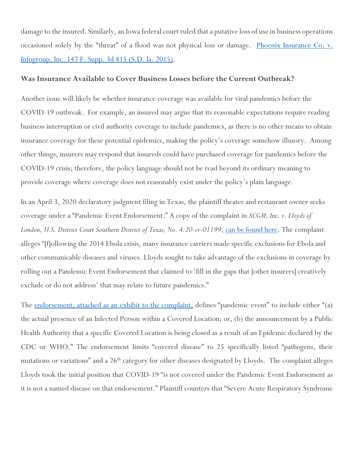damage to the insured. Similarly, an Iowa federal court ruled that a putative loss of use in business operations occasioned solely by the "threat" of a flood was not physical loss or damage. <u>Phoenix Insurance Co. v.</u> Infogroup, Inc. 147 F. Supp. 3d 815 (S.D. Ia. 2015).

### **Was Insurance Available to Cover Business Losses before the Current Outbreak?**

Another issue will likely be whether insurance coverage was available for viral pandemics before the COVID-19 outbreak. For example, an insured may argue that its reasonable expectations require reading business interruption or civil authority coverage to include pandemics, as there is no other means to obtain insurance coverage for these potential epidemics, making the policy's coverage somehow illusory. Among other things, insurers may respond that insureds could have purchased coverage for pandemics before the COVID-19 crisis; therefore, the policy language should not be read beyond its ordinary meaning to provide coverage where coverage does not reasonably exist under the policy's plain language.

In an April 3, 2020 declaratory judgment filing in Texas, the plaintiff theater and restaurant owner seeks coverage under a "Pandemic Event Endorsement." A copy of the complaint in *SCGM, Inc. v. Lloyds of London, U.S. District Court Southern District of Texas, No. 4:20-cv-01199*, can be found here. The complaint alleges "[f]ollowing the 2014 Ebola crisis, many insurance carriers made specific exclusions for Ebola and other communicable diseases and viruses. Lloyds sought to take advantage of the exclusions in coverage by rolling out a Pandemic Event Endorsement that claimed to 'fill in the gaps that [other insurers] creatively exclude or do not address' that may relate to future pandemics."

The endorsement, attached as an exhibit to the complaint, defines "pandemic event" to include either "(a) the actual presence of an Infected Person within a Covered Location; or, (b) the announcement by a Public Health Authority that a specific Covered Location is being closed as a result of an Epidemic declared by the CDC or WHO." The endorsement limits "covered disease" to 25 specifically listed "pathogens, their mutations or variations" and a 26<sup>th</sup> category for other diseases designated by Lloyds. The complaint alleges Lloyds took the initial position that COVID-19 "is not covered under the Pandemic Event Endorsement as it is not a named disease on that endorsement." Plaintiff counters that "Severe Acute Respiratory Syndrome